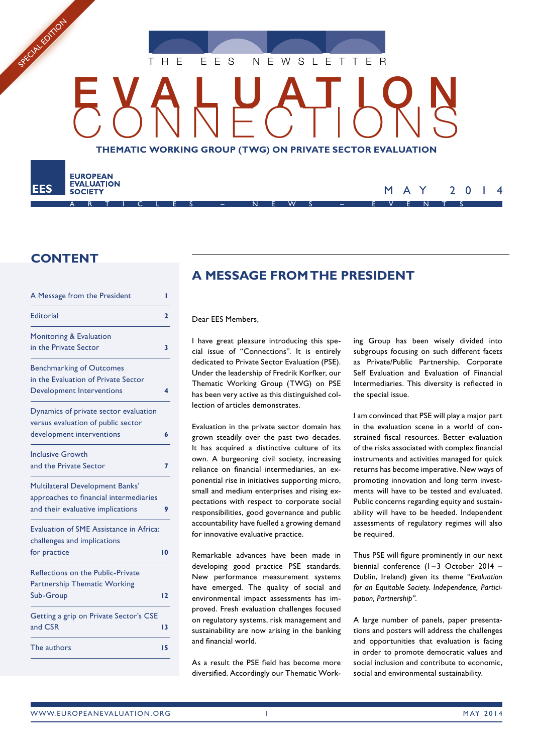

**THEMATIC WORKING GROUP (TWG) ON PRIVATE SECTOR EVALUATION**

ARTICLES – NEWS – EVENTS

## **CONTENT**

**EUROPEAN EVALUATION** 

**SOCIETY** 

SPECIAL EDITION

**EES** 

| A Message from the President            | ı                       |
|-----------------------------------------|-------------------------|
| Editorial                               | $\overline{\mathbf{c}}$ |
| Monitoring & Evaluation                 |                         |
| in the Private Sector                   | 3                       |
| <b>Benchmarking of Outcomes</b>         |                         |
| in the Evaluation of Private Sector     |                         |
| <b>Development Interventions</b>        | 4                       |
| Dynamics of private sector evaluation   |                         |
| versus evaluation of public sector      |                         |
| development interventions               | 6                       |
| <b>Inclusive Growth</b>                 |                         |
| and the Private Sector                  | 7                       |
| Multilateral Development Banks'         |                         |
| approaches to financial intermediaries  |                         |
| and their evaluative implications       | 9                       |
| Evaluation of SME Assistance in Africa: |                         |
| challenges and implications             |                         |
| for practice                            | 10                      |
| Reflections on the Public-Private       |                         |
| <b>Partnership Thematic Working</b>     |                         |
| Sub-Group                               | $\overline{2}$          |
| Getting a grip on Private Sector's CSE  |                         |
| and CSR                                 | 13                      |
| The authors                             | 15                      |

# **A MESSAGE FROM THE PRESIDENT**

Dear EES Members,

I have great pleasure introducing this special issue of "Connections". It is entirely dedicated to Private Sector Evaluation (PSE). Under the leadership of Fredrik Korfker, our Thematic Working Group (TWG) on PSE has been very active as this distinguished collection of articles demonstrates.

Evaluation in the private sector domain has grown steadily over the past two decades. It has acquired a distinctive culture of its own. A burgeoning civil society, increasing reliance on financial intermediaries, an exponential rise in initiatives supporting micro, small and medium enterprises and rising expectations with respect to corporate social responsibilities, good governance and public accountability have fuelled a growing demand for innovative evaluative practice.

Remarkable advances have been made in developing good practice PSE standards. New performance measurement systems have emerged. The quality of social and environmental impact assessments has improved. Fresh evaluation challenges focused on regulatory systems, risk management and sustainability are now arising in the banking and financial world.

As a result the PSE field has become more diversified. Accordingly our Thematic Working Group has been wisely divided into subgroups focusing on such different facets as Private/Public Partnership, Corporate Self Evaluation and Evaluation of Financial Intermediaries. This diversity is reflected in the special issue.

MAY 2014

I am convinced that PSE will play a major part in the evaluation scene in a world of constrained fiscal resources. Better evaluation of the risks associated with complex financial instruments and activities managed for quick returns has become imperative. New ways of promoting innovation and long term investments will have to be tested and evaluated. Public concerns regarding equity and sustainability will have to be heeded. Independent assessments of regulatory regimes will also be required.

Thus PSE will figure prominently in our next biennial conference  $(1 - 3$  October 2014 -Dublin, Ireland) given its theme *"Evaluation for an Equitable Society. Independence, Participation, Partnership"*.

A large number of panels, paper presentations and posters will address the challenges and opportunities that evaluation is facing in order to promote democratic values and social inclusion and contribute to economic, social and environmental sustainability.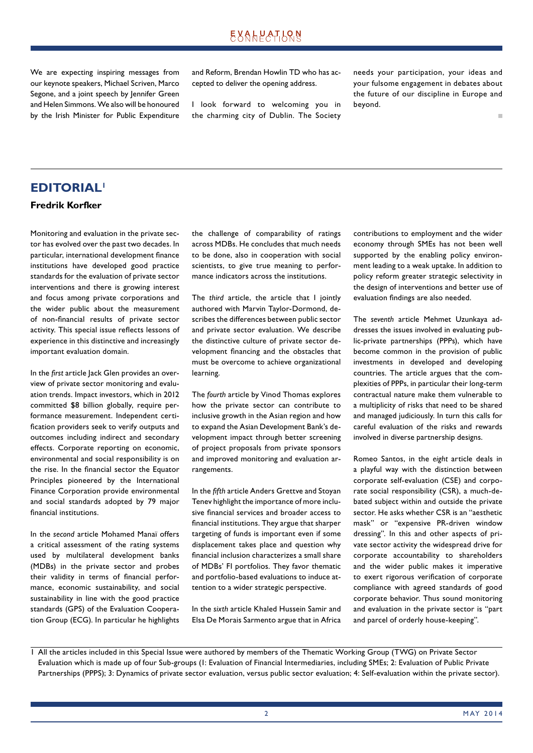We are expecting inspiring messages from our keynote speakers, Michael Scriven, Marco Segone, and a joint speech by Jennifer Green and Helen Simmons. We also will be honoured by the Irish Minister for Public Expenditure and Reform, Brendan Howlin TD who has accepted to deliver the opening address.

I look forward to welcoming you in the charming city of Dublin. The Society

needs your participation, your ideas and your fulsome engagement in debates about the future of our discipline in Europe and beyond.

Ì.

# **EDITORIAL1**

### **Fredrik Korfker**

Monitoring and evaluation in the private sector has evolved over the past two decades. In particular, international development finance institutions have developed good practice standards for the evaluation of private sector interventions and there is growing interest and focus among private corporations and the wider public about the measurement of non-financial results of private sector activity. This special issue reflects lessons of experience in this distinctive and increasingly important evaluation domain.

In the *first* article Jack Glen provides an overview of private sector monitoring and evaluation trends. Impact investors, which in 2012 committed \$8 billion globally, require performance measurement. Independent certification providers seek to verify outputs and outcomes including indirect and secondary effects. Corporate reporting on economic, environmental and social responsibility is on the rise. In the financial sector the Equator Principles pioneered by the International Finance Corporation provide environmental and social standards adopted by 79 major financial institutions.

In the *second* article Mohamed Manaï offers a critical assessment of the rating systems used by multilateral development banks (MDBs) in the private sector and probes their validity in terms of financial performance, economic sustainability, and social sustainability in line with the good practice standards (GPS) of the Evaluation Cooperation Group (ECG). In particular he highlights the challenge of comparability of ratings across MDBs. He concludes that much needs to be done, also in cooperation with social scientists, to give true meaning to performance indicators across the institutions.

The *third* article, the article that I jointly authored with Marvin Taylor-Dormond, describes the differences between public sector and private sector evaluation. We describe the distinctive culture of private sector development financing and the obstacles that must be overcome to achieve organizational learning.

The *fourth* article by Vinod Thomas explores how the private sector can contribute to inclusive growth in the Asian region and how to expand the Asian Development Bank's development impact through better screening of project proposals from private sponsors and improved monitoring and evaluation arrangements.

In the *fifth* article Anders Grettve and Stoyan Tenev highlight the importance of more inclusive financial services and broader access to financial institutions. They argue that sharper targeting of funds is important even if some displacement takes place and question why financial inclusion characterizes a small share of MDBs' FI portfolios. They favor thematic and portfolio-based evaluations to induce attention to a wider strategic perspective.

In the *sixth* article Khaled Hussein Samir and Elsa De Morais Sarmento argue that in Africa

contributions to employment and the wider economy through SMEs has not been well supported by the enabling policy environment leading to a weak uptake. In addition to policy reform greater strategic selectivity in the design of interventions and better use of evaluation findings are also needed.

The *seventh* article Mehmet Uzunkaya addresses the issues involved in evaluating public-private partnerships (PPPs), which have become common in the provision of public investments in developed and developing countries. The article argues that the complexities of PPPs, in particular their long-term contractual nature make them vulnerable to a multiplicity of risks that need to be shared and managed judiciously. In turn this calls for careful evaluation of the risks and rewards involved in diverse partnership designs.

Romeo Santos, in the *eight* article deals in a playful way with the distinction between corporate self-evaluation (CSE) and corporate social responsibility (CSR), a much-debated subject within and outside the private sector. He asks whether CSR is an "aesthetic mask" or "expensive PR-driven window dressing". In this and other aspects of private sector activity the widespread drive for corporate accountability to shareholders and the wider public makes it imperative to exert rigorous verification of corporate compliance with agreed standards of good corporate behavior. Thus sound monitoring and evaluation in the private sector is "part and parcel of orderly house-keeping".

1 All the articles included in this Special Issue were authored by members of the Thematic Working Group (TWG) on Private Sector Evaluation which is made up of four Sub-groups (1: Evaluation of Financial Intermediaries, including SMEs; 2: Evaluation of Public Private Partnerships (PPPS); 3: Dynamics of private sector evaluation, versus public sector evaluation; 4: Self-evaluation within the private sector).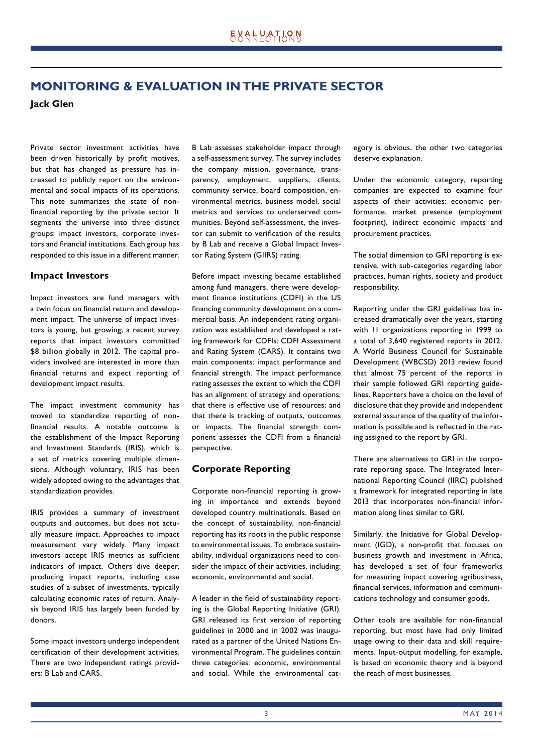## **MONITORING & EVALUATION IN THE PRIVATE SECTOR**

**Jack Glen**

Private sector investment activities have been driven historically by profit motives, but that has changed as pressure has increased to publicly report on the environmental and social impacts of its operations. This note summarizes the state of nonfinancial reporting by the private sector. It segments the universe into three distinct groups: impact investors, corporate investors and financial institutions. Each group has responded to this issue in a different manner.

### **Impact Investors**

Impact investors are fund managers with a twin focus on financial return and development impact. The universe of impact investors is young, but growing; a recent survey reports that impact investors committed \$8 billion globally in 2012. The capital providers involved are interested in more than financial returns and expect reporting of development impact results.

The impact investment community has moved to standardize reporting of nonfinancial results. A notable outcome is the establishment of the Impact Reporting and Investment Standards (IRIS), which is a set of metrics covering multiple dimensions. Although voluntary, IRIS has been widely adopted owing to the advantages that standardization provides.

IRIS provides a summary of investment outputs and outcomes, but does not actually measure impact. Approaches to impact measurement vary widely. Many impact investors accept IRIS metrics as sufficient indicators of impact. Others dive deeper, producing impact reports, including case studies of a subset of investments, typically calculating economic rates of return. Analysis beyond IRIS has largely been funded by donors.

Some impact investors undergo independent certification of their development activities. There are two independent ratings providers: B Lab and CARS.

B Lab assesses stakeholder impact through a self-assessment survey. The survey includes the company mission, governance, transparency, employment, suppliers, clients, community service, board composition, environmental metrics, business model, social metrics and services to underserved communities. Beyond self-assessment, the investor can submit to verification of the results by B Lab and receive a Global Impact Investor Rating System (GIIRS) rating.

Before impact investing became established among fund managers, there were development finance institutions (CDFI) in the US financing community development on a commercial basis. An independent rating organization was established and developed a rating framework for CDFIs: CDFI Assessment and Rating System (CARS). It contains two main components: impact performance and financial strength. The impact performance rating assesses the extent to which the CDFI has an alignment of strategy and operations; that there is effective use of resources; and that there is tracking of outputs, outcomes or impacts. The financial strength component assesses the CDFI from a financial perspective.

## **Corporate Reporting**

Corporate non-financial reporting is growing in importance and extends beyond developed country multinationals. Based on the concept of sustainability, non-financial reporting has its roots in the public response to environmental issues. To embrace sustainability, individual organizations need to consider the impact of their activities, including: economic, environmental and social.

A leader in the field of sustainability reporting is the Global Reporting Initiative (GRI). GRI released its first version of reporting guidelines in 2000 and in 2002 was inaugurated as a partner of the United Nations Environmental Program. The guidelines contain three categories: economic, environmental and social. While the environmental category is obvious, the other two categories deserve explanation.

Under the economic category, reporting companies are expected to examine four aspects of their activities: economic performance, market presence (employment footprint), indirect economic impacts and procurement practices.

The social dimension to GRI reporting is extensive, with sub-categories regarding labor practices, human rights, society and product responsibility.

Reporting under the GRI guidelines has increased dramatically over the years, starting with 11 organizations reporting in 1999 to a total of 3,640 registered reports in 2012. A World Business Council for Sustainable Development (WBCSD) 2013 review found that almost 75 percent of the reports in their sample followed GRI reporting guidelines. Reporters have a choice on the level of disclosure that they provide and independent external assurance of the quality of the information is possible and is reflected in the rating assigned to the report by GRI.

There are alternatives to GRI in the corporate reporting space. The Integrated International Reporting Council (IIRC) published a framework for integrated reporting in late 2013 that incorporates non-financial information along lines similar to GRI.

Similarly, the Initiative for Global Development (IGD), a non-profit that focuses on business growth and investment in Africa, has developed a set of four frameworks for measuring impact covering agribusiness, financial services, information and communications technology and consumer goods.

Other tools are available for non-financial reporting, but most have had only limited usage owing to their data and skill requirements. Input-output modelling, for example, is based on economic theory and is beyond the reach of most businesses.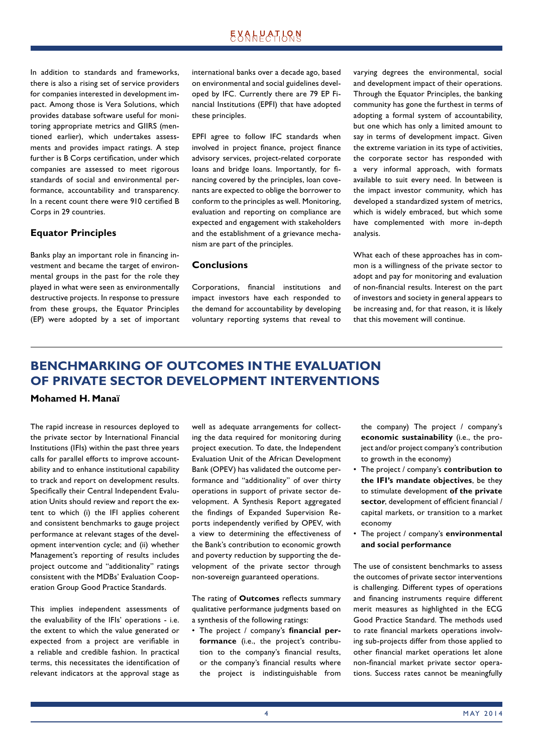In addition to standards and frameworks, there is also a rising set of service providers for companies interested in development impact. Among those is Vera Solutions, which provides database software useful for monitoring appropriate metrics and GIIRS (mentioned earlier), which undertakes assessments and provides impact ratings. A step further is B Corps certification, under which companies are assessed to meet rigorous standards of social and environmental performance, accountability and transparency. In a recent count there were 910 certified B Corps in 29 countries.

### **Equator Principles**

Banks play an important role in financing investment and became the target of environmental groups in the past for the role they played in what were seen as environmentally destructive projects. In response to pressure from these groups, the Equator Principles (EP) were adopted by a set of important international banks over a decade ago, based on environmental and social guidelines developed by IFC. Currently there are 79 EP Financial Institutions (EPFI) that have adopted these principles.

EPFI agree to follow IFC standards when involved in project finance, project finance advisory services, project-related corporate loans and bridge loans. Importantly, for financing covered by the principles, loan covenants are expected to oblige the borrower to conform to the principles as well. Monitoring, evaluation and reporting on compliance are expected and engagement with stakeholders and the establishment of a grievance mechanism are part of the principles.

### **Conclusions**

Corporations, financial institutions and impact investors have each responded to the demand for accountability by developing voluntary reporting systems that reveal to varying degrees the environmental, social and development impact of their operations. Through the Equator Principles, the banking community has gone the furthest in terms of adopting a formal system of accountability, but one which has only a limited amount to say in terms of development impact. Given the extreme variation in its type of activities, the corporate sector has responded with a very informal approach, with formats available to suit every need. In between is the impact investor community, which has developed a standardized system of metrics, which is widely embraced, but which some have complemented with more in-depth analysis.

What each of these approaches has in common is a willingness of the private sector to adopt and pay for monitoring and evaluation of non-financial results. Interest on the part of investors and society in general appears to be increasing and, for that reason, it is likely that this movement will continue.

# **BENCHMARKING OF OUTCOMES IN THE EVALUATION OF PRIVATE SECTOR DEVELOPMENT INTERVENTIONS**

## **Mohamed H. Manaï**

The rapid increase in resources deployed to the private sector by International Financial Institutions (IFIs) within the past three years calls for parallel efforts to improve accountability and to enhance institutional capability to track and report on development results. Specifically their Central Independent Evaluation Units should review and report the extent to which (i) the IFI applies coherent and consistent benchmarks to gauge project performance at relevant stages of the development intervention cycle; and (ii) whether Management's reporting of results includes project outcome and "additionality" ratings consistent with the MDBs' Evaluation Cooperation Group Good Practice Standards.

This implies independent assessments of the evaluability of the IFIs' operations - i.e. the extent to which the value generated or expected from a project are verifiable in a reliable and credible fashion. In practical terms, this necessitates the identification of relevant indicators at the approval stage as

well as adequate arrangements for collecting the data required for monitoring during project execution. To date, the Independent Evaluation Unit of the African Development Bank (OPEV) has validated the outcome performance and "additionality" of over thirty operations in support of private sector development. A Synthesis Report aggregated the findings of Expanded Supervision Reports independently verified by OPEV, with a view to determining the effectiveness of the Bank's contribution to economic growth and poverty reduction by supporting the development of the private sector through non-sovereign guaranteed operations.

The rating of **Outcomes** reflects summary qualitative performance judgments based on a synthesis of the following ratings:

• The project / company's **financial performance** (i.e., the project's contribution to the company's financial results, or the company's financial results where the project is indistinguishable from

the company) The project / company's **economic sustainability** (i.e., the project and/or project company's contribution to growth in the economy)

- The project / company's **contribution to the IFI's mandate objectives**, be they to stimulate development **of the private**  sector, development of efficient financial / capital markets, or transition to a market economy
- The project / company's **environmental and social performance**

The use of consistent benchmarks to assess the outcomes of private sector interventions is challenging. Different types of operations and financing instruments require different merit measures as highlighted in the ECG Good Practice Standard. The methods used to rate financial markets operations involving sub-projects differ from those applied to other financial market operations let alone non-financial market private sector operations. Success rates cannot be meaningfully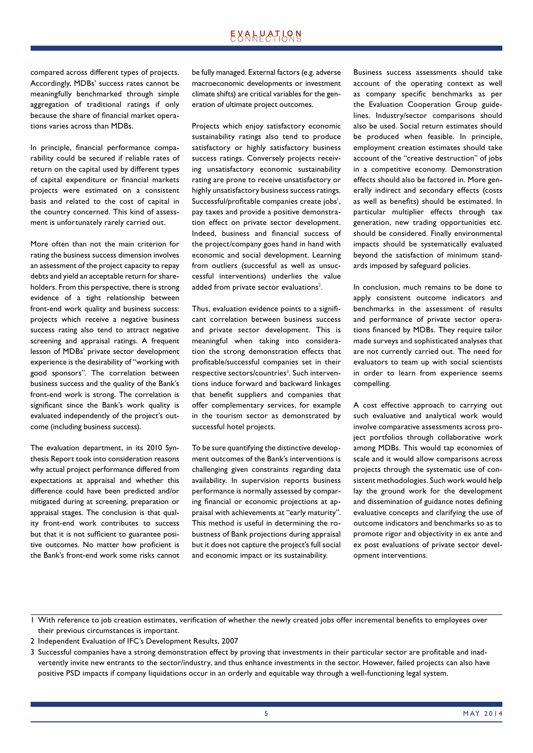compared across different types of projects. Accordingly, MDBs' success rates cannot be meaningfully benchmarked through simple aggregation of traditional ratings if only because the share of financial market operations varies across than MDBs.

In principle, financial performance comparability could be secured if reliable rates of return on the capital used by different types of capital expenditure or financial markets projects were estimated on a consistent basis and related to the cost of capital in the country concerned. This kind of assessment is unfortunately rarely carried out.

More often than not the main criterion for rating the business success dimension involves an assessment of the project capacity to repay debts and yield an acceptable return for shareholders. From this perspective, there is strong evidence of a tight relationship between front-end work quality and business success: projects which receive a negative business success rating also tend to attract negative screening and appraisal ratings. A frequent lesson of MDBs' private sector development experience is the desirability of "working with good sponsors". The correlation between business success and the quality of the Bank's front-end work is strong. The correlation is significant since the Bank's work quality is evaluated independently of the project's outcome (including business success).

The evaluation department, in its 2010 Synthesis Report took into consideration reasons why actual project performance differed from expectations at appraisal and whether this difference could have been predicted and/or mitigated during at screening, preparation or appraisal stages. The conclusion is that quality front-end work contributes to success but that it is not sufficient to guarantee positive outcomes. No matter how proficient is the Bank's front-end work some risks cannot be fully managed. External factors (e.g. adverse macroeconomic developments or investment climate shifts) are critical variables for the generation of ultimate project outcomes.

Projects which enjoy satisfactory economic sustainability ratings also tend to produce satisfactory or highly satisfactory business success ratings. Conversely projects receiving unsatisfactory economic sustainability rating are prone to receive unsatisfactory or highly unsatisfactory business success ratings. Successful/profitable companies create jobs<sup>1</sup>, pay taxes and provide a positive demonstration effect on private sector development. Indeed, business and financial success of the project/company goes hand in hand with economic and social development. Learning from outliers (successful as well as unsuccessful interventions) underlies the value added from private sector evaluations<sup>2</sup>.

Thus, evaluation evidence points to a significant correlation between business success and private sector development. This is meaningful when taking into consideration the strong demonstration effects that profitable/successful companies set in their respective sectors/countries<sup>3</sup>. Such interventions induce forward and backward linkages that benefit suppliers and companies that offer complementary services, for example in the tourism sector as demonstrated by successful hotel projects.

To be sure quantifying the distinctive development outcomes of the Bank's interventions is challenging given constraints regarding data availability. In supervision reports business performance is normally assessed by comparing financial or economic projections at appraisal with achievements at "early maturity". This method is useful in determining the robustness of Bank projections during appraisal but it does not capture the project's full social and economic impact or its sustainability.

Business success assessments should take account of the operating context as well as company specific benchmarks as per the Evaluation Cooperation Group guidelines. Industry/sector comparisons should also be used. Social return estimates should be produced when feasible. In principle, employment creation estimates should take account of the "creative destruction" of jobs in a competitive economy. Demonstration effects should also be factored in. More generally indirect and secondary effects (costs as well as benefits) should be estimated. In particular multiplier effects through tax generation, new trading opportunities etc. should be considered. Finally environmental impacts should be systematically evaluated beyond the satisfaction of minimum standards imposed by safeguard policies.

In conclusion, much remains to be done to apply consistent outcome indicators and benchmarks in the assessment of results and performance of private sector operations financed by MDBs. They require tailor made surveys and sophisticated analyses that are not currently carried out. The need for evaluators to team up with social scientists in order to learn from experience seems compelling.

A cost effective approach to carrying out such evaluative and analytical work would involve comparative assessments across project portfolios through collaborative work among MDBs. This would tap economies of scale and it would allow comparisons across projects through the systematic use of consistent methodologies. Such work would help lay the ground work for the development and dissemination of guidance notes defining evaluative concepts and clarifying the use of outcome indicators and benchmarks so as to promote rigor and objectivity in ex ante and ex post evaluations of private sector development interventions.

### 1 With reference to job creation estimates, verification of whether the newly created jobs offer incremental benefits to employees over their previous circumstances is important.

- 2 Independent Evaluation of IFC's Development Results, 2007
- 3 Successful companies have a strong demonstration effect by proving that investments in their particular sector are profitable and inadvertently invite new entrants to the sector/industry, and thus enhance investments in the sector. However, failed projects can also have positive PSD impacts if company liquidations occur in an orderly and equitable way through a well-functioning legal system.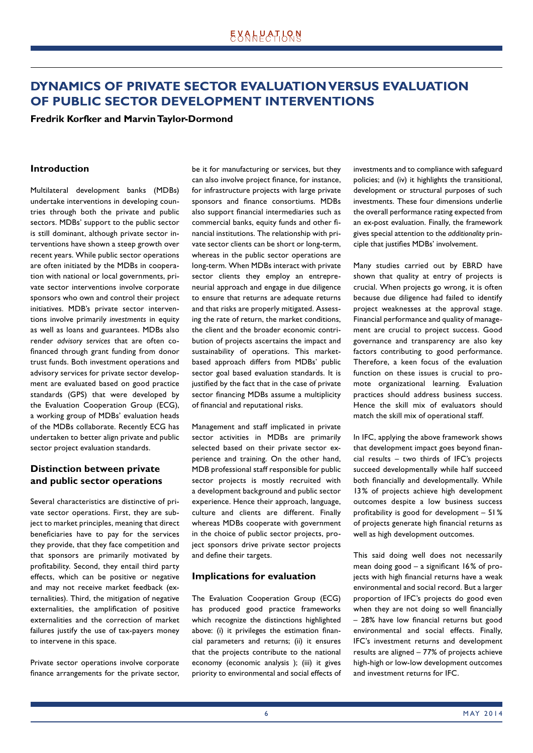## **DYNAMICS OF PRIVATE SECTOR EVALUATION VERSUS EVALUATION OF PUBLIC SECTOR DEVELOPMENT INTERVENTIONS**

**Fredrik Korfker and Marvin Taylor-Dormond**

### **Introduction**

Multilateral development banks (MDBs) undertake interventions in developing countries through both the private and public sectors. MDBs' support to the public sector is still dominant, although private sector interventions have shown a steep growth over recent years. While public sector operations are often initiated by the MDBs in cooperation with national or local governments, private sector interventions involve corporate sponsors who own and control their project initiatives. MDB's private sector interventions involve primarily *investments* in equity as well as loans and guarantees. MDBs also render *advisory services* that are often cofinanced through grant funding from donor trust funds. Both investment operations and advisory services for private sector development are evaluated based on good practice standards (GPS) that were developed by the Evaluation Cooperation Group (ECG), a working group of MDBs' evaluation heads of the MDBs collaborate. Recently ECG has undertaken to better align private and public sector project evaluation standards.

## **Distinction between private and public sector operations**

Several characteristics are distinctive of private sector operations. First, they are subject to market principles, meaning that direct beneficiaries have to pay for the services they provide, that they face competition and that sponsors are primarily motivated by profitability. Second, they entail third party effects, which can be positive or negative and may not receive market feedback (externalities). Third, the mitigation of negative externalities, the amplification of positive externalities and the correction of market failures justify the use of tax-payers money to intervene in this space.

Private sector operations involve corporate finance arrangements for the private sector, be it for manufacturing or services, but they can also involve project finance, for instance, for infrastructure projects with large private sponsors and finance consortiums. MDBs also support financial intermediaries such as commercial banks, equity funds and other financial institutions. The relationship with private sector clients can be short or long-term, whereas in the public sector operations are long-term. When MDBs interact with private sector clients they employ an entrepreneurial approach and engage in due diligence to ensure that returns are adequate returns and that risks are properly mitigated. Assessing the rate of return, the market conditions, the client and the broader economic contribution of projects ascertains the impact and sustainability of operations. This marketbased approach differs from MDBs' public sector goal based evaluation standards. It is justified by the fact that in the case of private sector financing MDBs assume a multiplicity of financial and reputational risks.

Management and staff implicated in private sector activities in MDBs are primarily selected based on their private sector experience and training. On the other hand, MDB professional staff responsible for public sector projects is mostly recruited with a development background and public sector experience. Hence their approach, language, culture and clients are different. Finally whereas MDBs cooperate with government in the choice of public sector projects, project sponsors drive private sector projects and define their targets.

## **Implications for evaluation**

The Evaluation Cooperation Group (ECG) has produced good practice frameworks which recognize the distinctions highlighted above: (i) it privileges the estimation financial parameters and returns; (ii) it ensures that the projects contribute to the national economy (economic analysis ); (iii) it gives priority to environmental and social effects of investments and to compliance with safeguard policies; and (iv) it highlights the transitional, development or structural purposes of such investments. These four dimensions underlie the overall performance rating expected from an ex-post evaluation. Finally, the framework gives special attention to the *additionality* principle that justifies MDBs' involvement.

Many studies carried out by EBRD have shown that quality at entry of projects is crucial. When projects go wrong, it is often because due diligence had failed to identify project weaknesses at the approval stage. Financial performance and quality of management are crucial to project success. Good governance and transparency are also key factors contributing to good performance. Therefore, a keen focus of the evaluation function on these issues is crucial to promote organizational learning. Evaluation practices should address business success. Hence the skill mix of evaluators should match the skill mix of operational staff.

In IFC, applying the above framework shows that development impact goes beyond financial results – two thirds of IFC's projects succeed developmentally while half succeed both financially and developmentally. While 13% of projects achieve high development outcomes despite a low business success profitability is good for development  $-51\%$ of projects generate high financial returns as well as high development outcomes.

This said doing well does not necessarily mean doing good  $-$  a significant 16% of projects with high financial returns have a weak environmental and social record. But a larger proportion of IFC's projects do good even when they are not doing so well financially – 28% have low financial returns but good environmental and social effects. Finally, IFC's investment returns and development results are aligned – 77% of projects achieve high-high or low-low development outcomes and investment returns for IFC.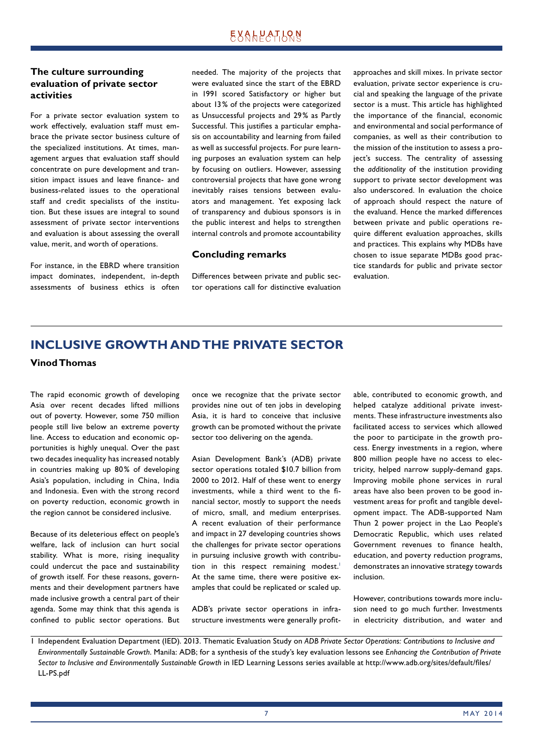## **The culture surrounding evaluation of private sector activities**

For a private sector evaluation system to work effectively, evaluation staff must embrace the private sector business culture of the specialized institutions. At times, management argues that evaluation staff should concentrate on pure development and transition impact issues and leave finance- and business-related issues to the operational staff and credit specialists of the institution. But these issues are integral to sound assessment of private sector interventions and evaluation is about assessing the overall value, merit, and worth of operations.

For instance, in the EBRD where transition impact dominates, independent, in-depth assessments of business ethics is often needed. The majority of the projects that were evaluated since the start of the EBRD in 1991 scored Satisfactory or higher but about 13 % of the projects were categorized as Unsuccessful projects and 29% as Partly Successful. This justifies a particular emphasis on accountability and learning from failed as well as successful projects. For pure learning purposes an evaluation system can help by focusing on outliers. However, assessing controversial projects that have gone wrong inevitably raises tensions between evaluators and management. Yet exposing lack of transparency and dubious sponsors is in the public interest and helps to strengthen internal controls and promote accountability

### **Concluding remarks**

Differences between private and public sector operations call for distinctive evaluation approaches and skill mixes. In private sector evaluation, private sector experience is crucial and speaking the language of the private sector is a must. This article has highlighted the importance of the financial, economic and environmental and social performance of companies, as well as their contribution to the mission of the institution to assess a project's success. The centrality of assessing the *additionality* of the institution providing support to private sector development was also underscored. In evaluation the choice of approach should respect the nature of the evaluand. Hence the marked differences between private and public operations require different evaluation approaches, skills and practices. This explains why MDBs have chosen to issue separate MDBs good practice standards for public and private sector evaluation.

## **INCLUSIVE GROWTH AND THE PRIVATE SECTOR**

### **Vinod Thomas**

The rapid economic growth of developing Asia over recent decades lifted millions out of poverty. However, some 750 million people still live below an extreme poverty line. Access to education and economic opportunities is highly unequal. Over the past two decades inequality has increased notably in countries making up 80% of developing Asia's population, including in China, India and Indonesia. Even with the strong record on poverty reduction, economic growth in the region cannot be considered inclusive.

Because of its deleterious effect on people's welfare, lack of inclusion can hurt social stability. What is more, rising inequality could undercut the pace and sustainability of growth itself. For these reasons, governments and their development partners have made inclusive growth a central part of their agenda. Some may think that this agenda is confined to public sector operations. But once we recognize that the private sector provides nine out of ten jobs in developing Asia, it is hard to conceive that inclusive growth can be promoted without the private sector too delivering on the agenda.

Asian Development Bank's (ADB) private sector operations totaled \$10.7 billion from 2000 to 2012. Half of these went to energy investments, while a third went to the financial sector, mostly to support the needs of micro, small, and medium enterprises. A recent evaluation of their performance and impact in 27 developing countries shows the challenges for private sector operations in pursuing inclusive growth with contribution in this respect remaining modest.<sup>1</sup> At the same time, there were positive examples that could be replicated or scaled up.

ADB's private sector operations in infrastructure investments were generally profitable, contributed to economic growth, and helped catalyze additional private investments. These infrastructure investments also facilitated access to services which allowed the poor to participate in the growth process. Energy investments in a region, where 800 million people have no access to electricity, helped narrow supply-demand gaps. Improving mobile phone services in rural areas have also been proven to be good investment areas for profit and tangible development impact. The ADB-supported Nam Thun 2 power project in the Lao People's Democratic Republic, which uses related Government revenues to finance health, education, and poverty reduction programs, demonstrates an innovative strategy towards inclusion.

However, contributions towards more inclusion need to go much further. Investments in electricity distribution, and water and

<sup>1</sup> Independent Evaluation Department (IED). 2013. Thematic Evaluation Study on *ADB Private Sector Operations: Contributions to Inclusive and Environmentally Sustainable Growth*. Manila: ADB; for a synthesis of the study's key evaluation lessons see *Enhancing the Contribution of Private*  Sector to Inclusive and Environmentally Sustainable Growth in IED Learning Lessons series available at http://www.adb.org/sites/default/files/ LL-PS.pdf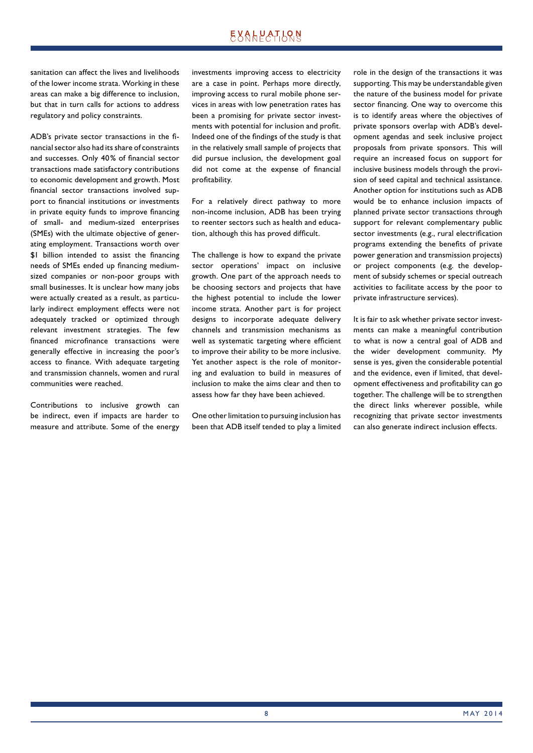# EXALPATLRN

sanitation can affect the lives and livelihoods of the lower income strata. Working in these areas can make a big difference to inclusion, but that in turn calls for actions to address regulatory and policy constraints.

ADB's private sector transactions in the financial sector also had its share of constraints and successes. Only 40% of financial sector transactions made satisfactory contributions to economic development and growth. Most financial sector transactions involved support to financial institutions or investments in private equity funds to improve financing of small- and medium-sized enterprises (SMEs) with the ultimate objective of generating employment. Transactions worth over \$1 billion intended to assist the financing needs of SMEs ended up financing mediumsized companies or non-poor groups with small businesses. It is unclear how many jobs were actually created as a result, as particularly indirect employment effects were not adequately tracked or optimized through relevant investment strategies. The few financed microfinance transactions were generally effective in increasing the poor's access to finance. With adequate targeting and transmission channels, women and rural communities were reached.

Contributions to inclusive growth can be indirect, even if impacts are harder to measure and attribute. Some of the energy investments improving access to electricity are a case in point. Perhaps more directly, improving access to rural mobile phone services in areas with low penetration rates has been a promising for private sector investments with potential for inclusion and profit. Indeed one of the findings of the study is that in the relatively small sample of projects that did pursue inclusion, the development goal did not come at the expense of financial profitability.

For a relatively direct pathway to more non-income inclusion, ADB has been trying to reenter sectors such as health and education, although this has proved difficult.

The challenge is how to expand the private sector operations' impact on inclusive growth. One part of the approach needs to be choosing sectors and projects that have the highest potential to include the lower income strata. Another part is for project designs to incorporate adequate delivery channels and transmission mechanisms as well as systematic targeting where efficient to improve their ability to be more inclusive. Yet another aspect is the role of monitoring and evaluation to build in measures of inclusion to make the aims clear and then to assess how far they have been achieved.

One other limitation to pursuing inclusion has been that ADB itself tended to play a limited role in the design of the transactions it was supporting. This may be understandable given the nature of the business model for private sector financing. One way to overcome this is to identify areas where the objectives of private sponsors overlap with ADB's development agendas and seek inclusive project proposals from private sponsors. This will require an increased focus on support for inclusive business models through the provision of seed capital and technical assistance. Another option for institutions such as ADB would be to enhance inclusion impacts of planned private sector transactions through support for relevant complementary public sector investments (e.g., rural electrification programs extending the benefits of private power generation and transmission projects) or project components (e.g. the development of subsidy schemes or special outreach activities to facilitate access by the poor to private infrastructure services).

It is fair to ask whether private sector investments can make a meaningful contribution to what is now a central goal of ADB and the wider development community. My sense is yes, given the considerable potential and the evidence, even if limited, that development effectiveness and profitability can go together. The challenge will be to strengthen the direct links wherever possible, while recognizing that private sector investments can also generate indirect inclusion effects.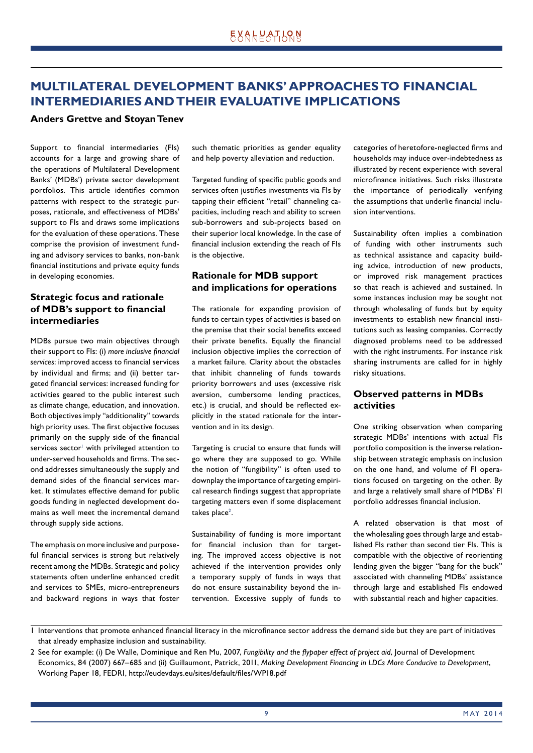# **MULTILATERAL DEVELOPMENT BANKS' APPROACHES TO FINANCIAL INTERMEDIARIES AND THEIR EVALUATIVE IMPLICATIONS**

### **Anders Grettve and Stoyan Tenev**

Support to financial intermediaries (FIs) accounts for a large and growing share of the operations of Multilateral Development Banks' (MDBs') private sector development portfolios. This article identifies common patterns with respect to the strategic purposes, rationale, and effectiveness of MDBs' support to FIs and draws some implications for the evaluation of these operations. These comprise the provision of investment funding and advisory services to banks, non-bank financial institutions and private equity funds in developing economies.

## **Strategic focus and rationale**  of **MDB**'s support to financial **intermediaries**

MDBs pursue two main objectives through their support to Fls: (i) *more inclusive financial* services: improved access to financial services by individual and firms; and (ii) better targeted financial services: increased funding for activities geared to the public interest such as climate change, education, and innovation. Both objectives imply "additionality" towards high priority uses. The first objective focuses primarily on the supply side of the financial services sector<sup>1</sup> with privileged attention to under-served households and firms. The second addresses simultaneously the supply and demand sides of the financial services market. It stimulates effective demand for public goods funding in neglected development domains as well meet the incremental demand through supply side actions.

The emphasis on more inclusive and purposeful financial services is strong but relatively recent among the MDBs. Strategic and policy statements often underline enhanced credit and services to SMEs, micro-entrepreneurs and backward regions in ways that foster

such thematic priorities as gender equality and help poverty alleviation and reduction.

Targeted funding of specific public goods and services often justifies investments via FIs by tapping their efficient "retail" channeling capacities, including reach and ability to screen sub-borrowers and sub-projects based on their superior local knowledge. In the case of financial inclusion extending the reach of FIs is the objective.

## **Rationale for MDB support and implications for operations**

The rationale for expanding provision of funds to certain types of activities is based on the premise that their social benefits exceed their private benefits. Equally the financial inclusion objective implies the correction of a market failure. Clarity about the obstacles that inhibit channeling of funds towards priority borrowers and uses (excessive risk aversion, cumbersome lending practices, etc.) is crucial, and should be reflected explicitly in the stated rationale for the intervention and in its design.

Targeting is crucial to ensure that funds will go where they are supposed to go. While the notion of "fungibility" is often used to downplay the importance of targeting empirical research findings suggest that appropriate targeting matters even if some displacement takes place<sup>2</sup>.

Sustainability of funding is more important for financial inclusion than for targeting. The improved access objective is not achieved if the intervention provides only a temporary supply of funds in ways that do not ensure sustainability beyond the intervention. Excessive supply of funds to

categories of heretofore-neglected firms and households may induce over-indebtedness as illustrated by recent experience with several microfinance initiatives. Such risks illustrate the importance of periodically verifying the assumptions that underlie financial inclusion interventions.

Sustainability often implies a combination of funding with other instruments such as technical assistance and capacity building advice, introduction of new products, or improved risk management practices so that reach is achieved and sustained. In some instances inclusion may be sought not through wholesaling of funds but by equity investments to establish new financial institutions such as leasing companies. Correctly diagnosed problems need to be addressed with the right instruments. For instance risk sharing instruments are called for in highly risky situations.

### **Observed patterns in MDBs activities**

One striking observation when comparing strategic MDBs' intentions with actual FIs portfolio composition is the inverse relationship between strategic emphasis on inclusion on the one hand, and volume of FI operations focused on targeting on the other. By and large a relatively small share of MDBs' FI portfolio addresses financial inclusion.

A related observation is that most of the wholesaling goes through large and established FIs rather than second tier FIs. This is compatible with the objective of reorienting lending given the bigger "bang for the buck" associated with channeling MDBs' assistance through large and established FIs endowed with substantial reach and higher capacities.

 $\overline{1}$  Interventions that promote enhanced financial literacy in the microfinance sector address the demand side but they are part of initiatives that already emphasize inclusion and sustainability.

<sup>2</sup> See for example: (i) De Walle, Dominique and Ren Mu, 2007, *Fungibility and the flypaper effect of project aid*, Journal of Development Economics, 84 (2007) 667–685 and (ii) Guillaumont, Patrick, 2011, *Making Development Financing in LDCs More Conducive to Development*, Working Paper 18, FEDRI, http://eudevdays.eu/sites/default/files/WP18.pdf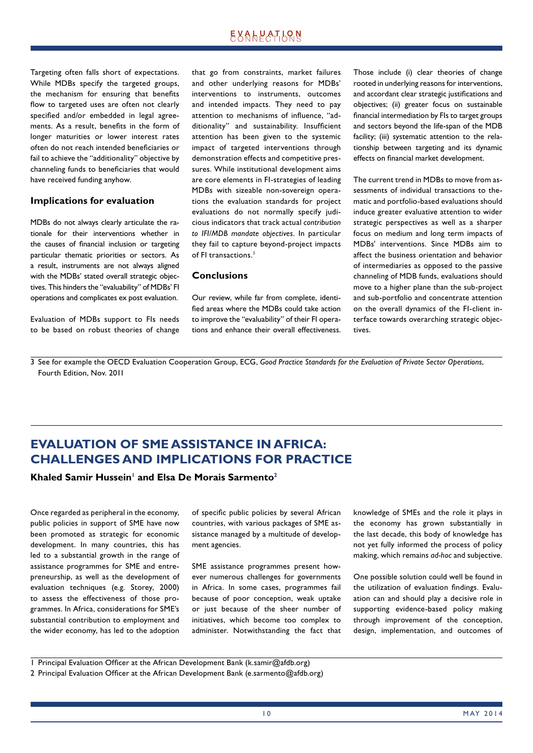Targeting often falls short of expectations. While MDBs specify the targeted groups, the mechanism for ensuring that benefits flow to targeted uses are often not clearly specified and/or embedded in legal agreements. As a result, benefits in the form of longer maturities or lower interest rates often do not reach intended beneficiaries or fail to achieve the "additionality" objective by channeling funds to beneficiaries that would have received funding anyhow.

### **Implications for evaluation**

MDBs do not always clearly articulate the rationale for their interventions whether in the causes of financial inclusion or targeting particular thematic priorities or sectors. As a result, instruments are not always aligned with the MDBs' stated overall strategic objectives. This hinders the "evaluability" of MDBs' FI operations and complicates ex post evaluation.

Evaluation of MDBs support to FIs needs to be based on robust theories of change that go from constraints, market failures and other underlying reasons for MDBs' interventions to instruments, outcomes and intended impacts. They need to pay attention to mechanisms of influence, "additionality" and sustainability. Insufficient attention has been given to the systemic impact of targeted interventions through demonstration effects and competitive pressures. While institutional development aims are core elements in FI-strategies of leading MDBs with sizeable non-sovereign operations the evaluation standards for project evaluations do not normally specify judicious indicators that track actual *contribution to IFI/MDB mandate objectives*. In particular they fail to capture beyond-project impacts of FI transactions.<sup>3</sup>

#### **Conclusions**

Our review, while far from complete, identified areas where the MDBs could take action to improve the "evaluability" of their FI operations and enhance their overall effectiveness. Those include (i) clear theories of change rooted in underlying reasons for interventions, and accordant clear strategic justifications and objectives; (ii) greater focus on sustainable financial intermediation by FIs to target groups and sectors beyond the life-span of the MDB facility; (iii) systematic attention to the relationship between targeting and its dynamic effects on financial market development.

The current trend in MDBs to move from assessments of individual transactions to thematic and portfolio-based evaluations should induce greater evaluative attention to wider strategic perspectives as well as a sharper focus on medium and long term impacts of MDBs' interventions. Since MDBs aim to affect the business orientation and behavior of intermediaries as opposed to the passive channeling of MDB funds, evaluations should move to a higher plane than the sub-project and sub-portfolio and concentrate attention on the overall dynamics of the FI-client interface towards overarching strategic objectives.

3 See for example the OECD Evaluation Cooperation Group, ECG, *Good Practice Standards for the Evaluation of Private Sector Operations*, Fourth Edition, Nov. 2011

## **EVALUATION OF SME ASSISTANCE IN AFRICA: CHALLENGES AND IMPLICATIONS FOR PRACTICE**

**Khaled Samir Hussein<sup>1</sup> and Elsa De Morais Sarmento<sup>2</sup>** 

Once regarded as peripheral in the economy, public policies in support of SME have now been promoted as strategic for economic development. In many countries, this has led to a substantial growth in the range of assistance programmes for SME and entrepreneurship, as well as the development of evaluation techniques (e.g. Storey, 2000) to assess the effectiveness of those programmes. In Africa, considerations for SME's substantial contribution to employment and the wider economy, has led to the adoption of specific public policies by several African countries, with various packages of SME assistance managed by a multitude of development agencies.

SME assistance programmes present however numerous challenges for governments in Africa. In some cases, programmes fail because of poor conception, weak uptake or just because of the sheer number of initiatives, which become too complex to administer. Notwithstanding the fact that knowledge of SMEs and the role it plays in the economy has grown substantially in the last decade, this body of knowledge has not yet fully informed the process of policy making, which remains *ad-hoc* and subjective.

One possible solution could well be found in the utilization of evaluation findings. Evaluation can and should play a decisive role in supporting evidence-based policy making through improvement of the conception, design, implementation, and outcomes of

1 Principal Evaluation Officer at the African Development Bank (k.samir@afdb.org)

2 Principal Evaluation Officer at the African Development Bank (e.sarmento@afdb.org)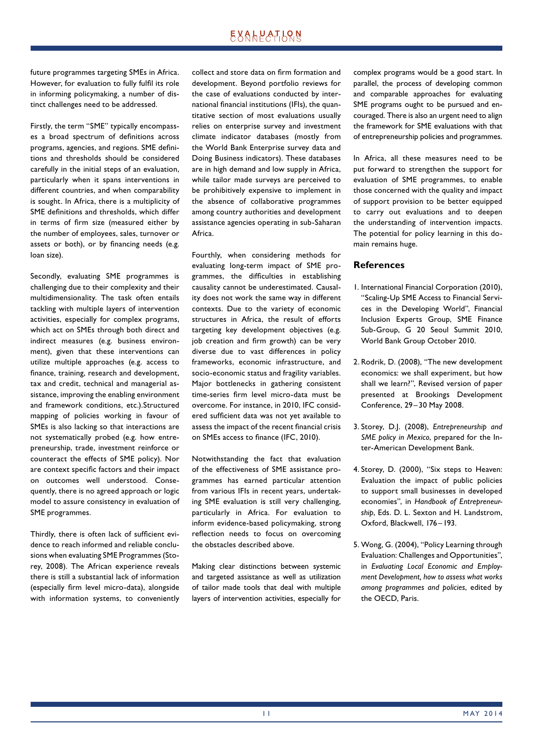# EXALPATLRN

future programmes targeting SMEs in Africa. However, for evaluation to fully fulfil its role in informing policymaking, a number of distinct challenges need to be addressed.

Firstly, the term "SME" typically encompasses a broad spectrum of definitions across programs, agencies, and regions. SME definitions and thresholds should be considered carefully in the initial steps of an evaluation, particularly when it spans interventions in different countries, and when comparability is sought. In Africa, there is a multiplicity of SME definitions and thresholds, which differ in terms of firm size (measured either by the number of employees, sales, turnover or assets or both), or by financing needs (e.g. loan size).

Secondly, evaluating SME programmes is challenging due to their complexity and their multidimensionality. The task often entails tackling with multiple layers of intervention activities, especially for complex programs, which act on SMEs through both direct and indirect measures (e.g. business environment), given that these interventions can utilize multiple approaches (e.g. access to finance, training, research and development, tax and credit, technical and managerial assistance, improving the enabling environment and framework conditions, etc.).Structured mapping of policies working in favour of SMEs is also lacking so that interactions are not systematically probed (e.g. how entrepreneurship, trade, investment reinforce or counteract the effects of SME policy). Nor are context specific factors and their impact on outcomes well understood. Consequently, there is no agreed approach or logic model to assure consistency in evaluation of SME programmes.

Thirdly, there is often lack of sufficient evidence to reach informed and reliable conclusions when evaluating SME Programmes (Storey, 2008). The African experience reveals there is still a substantial lack of information (especially firm level micro-data), alongside with information systems, to conveniently collect and store data on firm formation and development. Beyond portfolio reviews for the case of evaluations conducted by international financial institutions (IFIs), the quantitative section of most evaluations usually relies on enterprise survey and investment climate indicator databases (mostly from the World Bank Enterprise survey data and Doing Business indicators). These databases are in high demand and low supply in Africa, while tailor made surveys are perceived to be prohibitively expensive to implement in the absence of collaborative programmes among country authorities and development assistance agencies operating in sub-Saharan Africa.

Fourthly, when considering methods for evaluating long-term impact of SME programmes, the difficulties in establishing causality cannot be underestimated. Causality does not work the same way in different contexts. Due to the variety of economic structures in Africa, the result of efforts targeting key development objectives (e.g. job creation and firm growth) can be very diverse due to vast differences in policy frameworks, economic infrastructure, and socio-economic status and fragility variables. Major bottlenecks in gathering consistent time-series firm level micro-data must be overcome. For instance, in 2010, IFC considered sufficient data was not yet available to assess the impact of the recent financial crisis on SMEs access to finance (IFC, 2010).

Notwithstanding the fact that evaluation of the effectiveness of SME assistance programmes has earned particular attention from various IFIs in recent years, undertaking SME evaluation is still very challenging, particularly in Africa. For evaluation to inform evidence-based policymaking, strong reflection needs to focus on overcoming the obstacles described above.

Making clear distinctions between systemic and targeted assistance as well as utilization of tailor made tools that deal with multiple layers of intervention activities, especially for complex programs would be a good start. In parallel, the process of developing common and comparable approaches for evaluating SME programs ought to be pursued and encouraged. There is also an urgent need to align the framework for SME evaluations with that of entrepreneurship policies and programmes.

In Africa, all these measures need to be put forward to strengthen the support for evaluation of SME programmes, to enable those concerned with the quality and impact of support provision to be better equipped to carry out evaluations and to deepen the understanding of intervention impacts. The potential for policy learning in this domain remains huge.

### **References**

- 1. International Financial Corporation (2010), "Scaling-Up SME Access to Financial Services in the Developing World", Financial Inclusion Experts Group, SME Finance Sub-Group, G 20 Seoul Summit 2010, World Bank Group October 2010.
- 2. Rodrik, D. (2008), "The new development economics: we shall experiment, but how shall we learn?", Revised version of paper presented at Brookings Development Conference, 29 – 30 May 2008.
- 3. Storey, D.J. (2008), *Entrepreneurship and SME policy in Mexico*, prepared for the Inter-American Development Bank.
- 4. Storey, D. (2000), "Six steps to Heaven: Evaluation the impact of public policies to support small businesses in developed economies", in *Handbook of Entrepreneurship*, Eds. D. L. Sexton and H. Landstrom, Oxford, Blackwell, 176-193.
- 5. Wong, G. (2004), "Policy Learning through Evaluation: Challenges and Opportunities", in *Evaluating Local Economic and Employment Development, how to assess what works among programmes and policies*, edited by the OECD, Paris.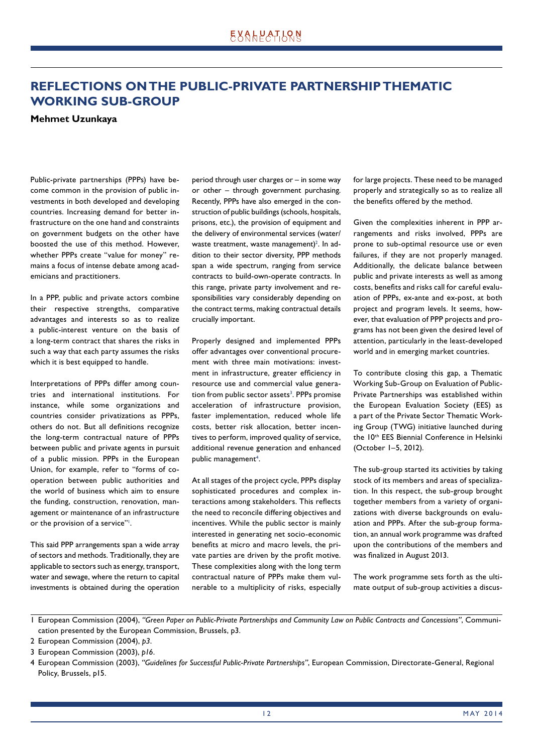# **REFLECTIONS ON THE PUBLIC-PRIVATE PARTNERSHIP THEMATIC WORKING SUB-GROUP**

### **Mehmet Uzunkaya**

Public-private partnerships (PPPs) have become common in the provision of public investments in both developed and developing countries. Increasing demand for better infrastructure on the one hand and constraints on government budgets on the other have boosted the use of this method. However, whether PPPs create "value for money" remains a focus of intense debate among academicians and practitioners.

In a PPP, public and private actors combine their respective strengths, comparative advantages and interests so as to realize a public-interest venture on the basis of a long-term contract that shares the risks in such a way that each party assumes the risks which it is best equipped to handle.

Interpretations of PPPs differ among countries and international institutions. For instance, while some organizations and countries consider privatizations as PPPs, others do not. But all definitions recognize the long-term contractual nature of PPPs between public and private agents in pursuit of a public mission. PPPs in the European Union, for example, refer to "forms of cooperation between public authorities and the world of business which aim to ensure the funding, construction, renovation, management or maintenance of an infrastructure or the provision of a service"<sup>1</sup>.

This said PPP arrangements span a wide array of sectors and methods. Traditionally, they are applicable to sectors such as energy, transport, water and sewage, where the return to capital investments is obtained during the operation period through user charges or – in some way or other – through government purchasing. Recently, PPPs have also emerged in the construction of public buildings (schools, hospitals, prisons, etc.), the provision of equipment and the delivery of environmental services (water/ waste treatment, waste management) $^{2}$ . In addition to their sector diversity, PPP methods span a wide spectrum, ranging from service contracts to build-own-operate contracts. In this range, private party involvement and responsibilities vary considerably depending on the contract terms, making contractual details crucially important.

Properly designed and implemented PPPs offer advantages over conventional procurement with three main motivations: investment in infrastructure, greater efficiency in resource use and commercial value generation from public sector assets<sup>3</sup>. PPPs promise acceleration of infrastructure provision, faster implementation, reduced whole life costs, better risk allocation, better incentives to perform, improved quality of service, additional revenue generation and enhanced public management<sup>4</sup>.

At all stages of the project cycle, PPPs display sophisticated procedures and complex interactions among stakeholders. This reflects the need to reconcile differing objectives and incentives. While the public sector is mainly interested in generating net socio-economic benefits at micro and macro levels, the private parties are driven by the profit motive. These complexities along with the long term contractual nature of PPPs make them vulnerable to a multiplicity of risks, especially for large projects. These need to be managed properly and strategically so as to realize all the benefits offered by the method.

Given the complexities inherent in PPP arrangements and risks involved, PPPs are prone to sub-optimal resource use or even failures, if they are not properly managed. Additionally, the delicate balance between public and private interests as well as among costs, benefits and risks call for careful evaluation of PPPs, ex-ante and ex-post, at both project and program levels. It seems, however, that evaluation of PPP projects and programs has not been given the desired level of attention, particularly in the least-developed world and in emerging market countries.

To contribute closing this gap, a Thematic Working Sub-Group on Evaluation of Public-Private Partnerships was established within the European Evaluation Society (EES) as a part of the Private Sector Thematic Working Group (TWG) initiative launched during the 10th EES Biennial Conference in Helsinki (October 1–5, 2012).

The sub-group started its activities by taking stock of its members and areas of specialization. In this respect, the sub-group brought together members from a variety of organizations with diverse backgrounds on evaluation and PPPs. After the sub-group formation, an annual work programme was drafted upon the contributions of the members and was finalized in August 2013.

The work programme sets forth as the ultimate output of sub-group activities a discus-

<sup>1</sup> European Commission (2004), *"Green Paper on Public-Private Partnerships and Community Law on Public Contracts and Concessions"*, Communication presented by the European Commission, Brussels, p3.

<sup>2</sup> European Commission (2004), *p3*.

<sup>3</sup> European Commission (2003), *p16*.

<sup>4</sup> European Commission (2003), *"Guidelines for Successful Public-Private Partnerships"*, European Commission, Directorate-General, Regional Policy, Brussels, p15.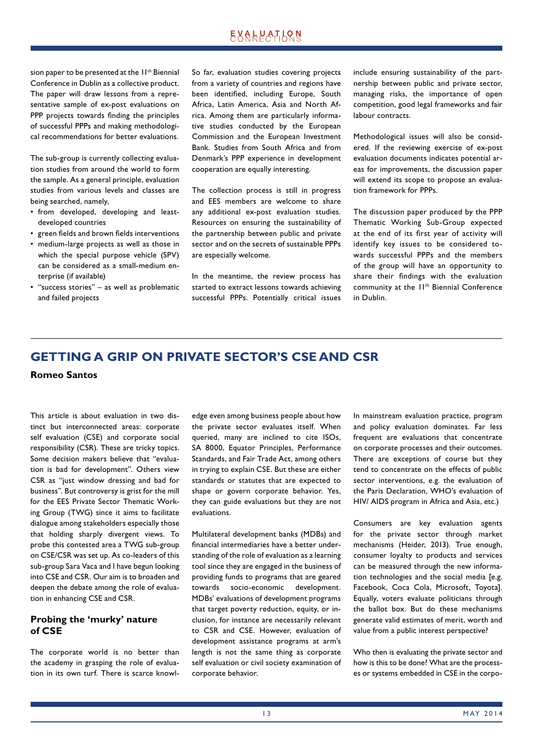sion paper to be presented at the II<sup>th</sup> Biennial Conference in Dublin as a collective product. The paper will draw lessons from a representative sample of ex-post evaluations on PPP projects towards finding the principles of successful PPPs and making methodological recommendations for better evaluations.

The sub-group is currently collecting evaluation studies from around the world to form the sample. As a general principle, evaluation studies from various levels and classes are being searched, namely,

- from developed, developing and leastdeveloped countries
- green fields and brown fields interventions
- medium-large projects as well as those in which the special purpose vehicle (SPV) can be considered as a small-medium enterprise (if available)
- "success stories" as well as problematic and failed projects

So far, evaluation studies covering projects from a variety of countries and regions have been identified, including Europe, South Africa, Latin America, Asia and North Africa. Among them are particularly informative studies conducted by the European Commission and the European Investment Bank. Studies from South Africa and from Denmark's PPP experience in development cooperation are equally interesting.

The collection process is still in progress and EES members are welcome to share any additional ex-post evaluation studies. Resources on ensuring the sustainability of the partnership between public and private sector and on the secrets of sustainable PPPs are especially welcome.

In the meantime, the review process has started to extract lessons towards achieving successful PPPs. Potentially critical issues include ensuring sustainability of the partnership between public and private sector, managing risks, the importance of open competition, good legal frameworks and fair labour contracts.

Methodological issues will also be considered. If the reviewing exercise of ex-post evaluation documents indicates potential areas for improvements, the discussion paper will extend its scope to propose an evaluation framework for PPPs.

The discussion paper produced by the PPP Thematic Working Sub-Group expected at the end of its first year of activity will identify key issues to be considered towards successful PPPs and the members of the group will have an opportunity to share their findings with the evaluation community at the II<sup>th</sup> Biennial Conference in Dublin.

## **GETTING A GRIP ON PRIVATE SECTOR'S CSE AND CSR**

**Romeo Santos**

This article is about evaluation in two distinct but interconnected areas: corporate self evaluation (CSE) and corporate social responsibility (CSR). These are tricky topics. Some decision makers believe that "evaluation is bad for development". Others view CSR as "just window dressing and bad for business". But controversy is grist for the mill for the EES Private Sector Thematic Working Group (TWG) since it aims to facilitate dialogue among stakeholders especially those that holding sharply divergent views. To probe this contested area a TWG sub-group on CSE/CSR was set up. As co-leaders of this sub-group Sara Vaca and I have begun looking into CSE and CSR. Our aim is to broaden and deepen the debate among the role of evaluation in enhancing CSE and CSR.

## **Probing the 'murky' nature of CSE**

The corporate world is no better than the academy in grasping the role of evaluation in its own turf. There is scarce knowledge even among business people about how the private sector evaluates itself. When queried, many are inclined to cite ISOs, SA 8000, Equator Principles, Performance Standards, and Fair Trade Act, among others in trying to explain CSE. But these are either standards or statutes that are expected to shape or govern corporate behavior. Yes, they can guide evaluations but they are not evaluations.

Multilateral development banks (MDBs) and financial intermediaries have a better understanding of the role of evaluation as a learning tool since they are engaged in the business of providing funds to programs that are geared towards socio-economic development. MDBs' evaluations of development programs that target poverty reduction, equity, or inclusion, for instance are necessarily relevant to CSR and CSE. However, evaluation of development assistance programs at arm's length is not the same thing as corporate self evaluation or civil society examination of corporate behavior.

In mainstream evaluation practice, program and policy evaluation dominates. Far less frequent are evaluations that concentrate on corporate processes and their outcomes. There are exceptions of course but they tend to concentrate on the effects of public sector interventions, e.g. the evaluation of the Paris Declaration, WHO's evaluation of HIV/ AIDS program in Africa and Asia, etc.)

Consumers are key evaluation agents for the private sector through market mechanisms (Heider, 2013). True enough, consumer loyalty to products and services can be measured through the new information technologies and the social media [e.g. Facebook, Coca Cola, Microsoft, Toyota]. Equally, voters evaluate politicians through the ballot box. But do these mechanisms generate valid estimates of merit, worth and value from a public interest perspective?

Who then is evaluating the private sector and how is this to be done? What are the processes or systems embedded in CSE in the corpo-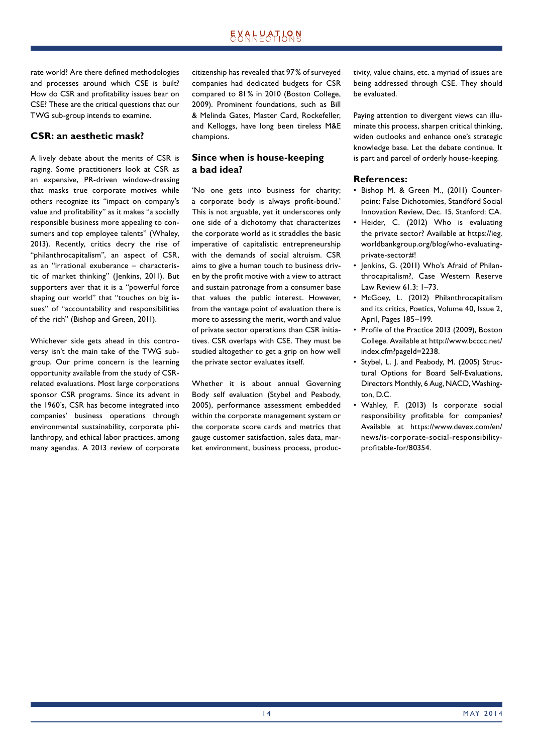# EXALPATLRN

rate world? Are there defined methodologies and processes around which CSE is built? How do CSR and profitability issues bear on CSE? These are the critical questions that our TWG sub-group intends to examine.

### **CSR: an aesthetic mask?**

A lively debate about the merits of CSR is raging. Some practitioners look at CSR as an expensive, PR-driven window-dressing that masks true corporate motives while others recognize its "impact on company's value and profitability" as it makes "a socially responsible business more appealing to consumers and top employee talents" (Whaley, 2013). Recently, critics decry the rise of "philanthrocapitalism", an aspect of CSR, as an "irrational exuberance – characteristic of market thinking" (Jenkins, 2011). But supporters aver that it is a "powerful force shaping our world" that "touches on big issues" of "accountability and responsibilities of the rich" (Bishop and Green, 2011).

Whichever side gets ahead in this controversy isn't the main take of the TWG subgroup. Our prime concern is the learning opportunity available from the study of CSRrelated evaluations. Most large corporations sponsor CSR programs. Since its advent in the 1960's, CSR has become integrated into companies' business operations through environmental sustainability, corporate philanthropy, and ethical labor practices, among many agendas. A 2013 review of corporate citizenship has revealed that 97 % of surveyed companies had dedicated budgets for CSR compared to 81 % in 2010 (Boston College, 2009). Prominent foundations, such as Bill & Melinda Gates, Master Card, Rockefeller, and Kelloggs, have long been tireless M&E champions.

### **Since when is house-keeping a bad idea?**

'No one gets into business for charity; a corporate body is always profit-bound.' This is not arguable, yet it underscores only one side of a dichotomy that characterizes the corporate world as it straddles the basic imperative of capitalistic entrepreneurship with the demands of social altruism. CSR aims to give a human touch to business driven by the profit motive with a view to attract and sustain patronage from a consumer base that values the public interest. However, from the vantage point of evaluation there is more to assessing the merit, worth and value of private sector operations than CSR initiatives. CSR overlaps with CSE. They must be studied altogether to get a grip on how well the private sector evaluates itself.

Whether it is about annual Governing Body self evaluation (Stybel and Peabody, 2005), performance assessment embedded within the corporate management system or the corporate score cards and metrics that gauge customer satisfaction, sales data, market environment, business process, productivity, value chains, etc. a myriad of issues are being addressed through CSE. They should be evaluated.

Paying attention to divergent views can illuminate this process, sharpen critical thinking, widen outlooks and enhance one's strategic knowledge base. Let the debate continue. It is part and parcel of orderly house-keeping.

### **References:**

- Bishop M. & Green M., (2011) Counterpoint: False Dichotomies, Standford Social Innovation Review, Dec. 15, Stanford: CA.
- Heider, C. (2012) Who is evaluating the private sector? Available at https://ieg. worldbankgroup.org/blog/who-evaluatingprivate-sector#!
- Jenkins, G. (2011) Who's Afraid of Philanthrocapitalism?, Case Western Reserve Law Review 61.3: 1–73.
- McGoey, L. (2012) Philanthrocapitalism and its critics, Poetics, Volume 40, Issue 2, April, Pages 185–199.
- Profile of the Practice 2013 (2009), Boston College. Available at http://www.bcccc.net/ index.cfm?pageId=2238.
- Stybel, L. J. and Peabody, M. (2005) Structural Options for Board Self-Evaluations, Directors Monthly, 6 Aug, NACD, Washington, D.C.
- Wahley, F. (2013) Is corporate social responsibility profitable for companies? Available at https://www.devex.com/en/ news/is-corporate-social-responsibilityprofitable-for/80354.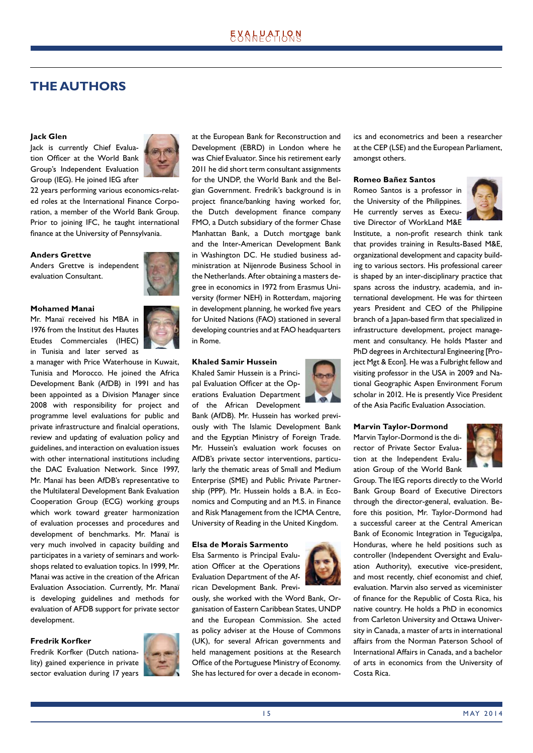## **THE AUTHORS**

#### **Jack Glen**

Jack is currently Chief Evaluation Officer at the World Bank Group's Independent Evaluation Group (IEG). He joined IEG after



22 years performing various economics-related roles at the International Finance Corporation, a member of the World Bank Group. Prior to joining IFC, he taught international finance at the University of Pennsylvania.

### **Anders Grettve**

Anders Grettve is independent evaluation Consultant.



#### **Mohamed Manai**

Mr. Manaï received his MBA in 1976 from the Institut des Hautes Etudes Commerciales (IHEC) in Tunisia and later served as



a manager with Price Waterhouse in Kuwait, Tunisia and Morocco. He joined the Africa Development Bank (AfDB) in 1991 and has been appointed as a Division Manager since 2008 with responsibility for project and programme level evaluations for public and private infrastructure and finalcial operations, review and updating of evaluation policy and guidelines, and interaction on evaluation issues with other international institutions including the DAC Evaluation Network. Since 1997, Mr. Manaï has been AfDB's representative to the Multilateral Development Bank Evaluation Cooperation Group (ECG) working groups which work toward greater harmonization of evaluation processes and procedures and development of benchmarks. Mr. Manaï is very much involved in capacity building and participates in a variety of seminars and workshops related to evaluation topics. In 1999, Mr. Manai was active in the creation of the African Evaluation Association. Currently, Mr. Manaï is developing guidelines and methods for evaluation of AFDB support for private sector development.

### **Fredrik Korfker**

Fredrik Korfker (Dutch nationality) gained experience in private sector evaluation during 17 years



at the European Bank for Reconstruction and Development (EBRD) in London where he was Chief Evaluator. Since his retirement early 2011 he did short term consultant assignments for the UNDP, the World Bank and the Belgian Government. Fredrik's background is in project finance/banking having worked for, the Dutch development finance company FMO, a Dutch subsidiary of the former Chase Manhattan Bank, a Dutch mortgage bank and the Inter-American Development Bank in Washington DC. He studied business administration at Nijenrode Business School in the Netherlands. After obtaining a masters degree in economics in 1972 from Erasmus University (former NEH) in Rotterdam, majoring in development planning, he worked five years for United Nations (FAO) stationed in several developing countries and at FAO headquarters in Rome.

### **Khaled Samir Hussein**

Khaled Samir Hussein is a Principal Evaluation Officer at the Operations Evaluation Department of the African Development

Bank (AfDB). Mr. Hussein has worked previously with The Islamic Development Bank and the Egyptian Ministry of Foreign Trade. Mr. Hussein's evaluation work focuses on AfDB's private sector interventions, particularly the thematic areas of Small and Medium Enterprise (SME) and Public Private Partnership (PPP). Mr. Hussein holds a B.A. in Economics and Computing and an M.S. in Finance and Risk Management from the ICMA Centre, University of Reading in the United Kingdom.

#### **Elsa de Morais Sarmento**

Elsa Sarmento is Principal Evaluation Officer at the Operations Evaluation Department of the African Development Bank. Previ-

ously, she worked with the Word Bank, Organisation of Eastern Caribbean States, UNDP and the European Commission. She acted as policy adviser at the House of Commons (UK), for several African governments and held management positions at the Research Office of the Portuguese Ministry of Economy. She has lectured for over a decade in econom-



#### **Romeo Bañez Santos**

Romeo Santos is a professor in the University of the Philippines. He currently serves as Executive Director of WorkLand M&E



Institute, a non-profit research think tank that provides training in Results-Based M&E, organizational development and capacity building to various sectors. His professional career is shaped by an inter-disciplinary practice that spans across the industry, academia, and international development. He was for thirteen years President and CEO of the Philippine branch of a Japan-based firm that specialized in infrastructure development, project management and consultancy. He holds Master and PhD degrees in Architectural Engineering [Project Mgt & Econ]. He was a Fulbright fellow and visiting professor in the USA in 2009 and National Geographic Aspen Environment Forum scholar in 2012. He is presently Vice President of the Asia Pacific Evaluation Association.

#### **Marvin Taylor-Dormond**

Marvin Taylor-Dormond is the director of Private Sector Evaluation at the Independent Evaluation Group of the World Bank



Group. The IEG reports directly to the World Bank Group Board of Executive Directors through the director-general, evaluation. Before this position, Mr. Taylor-Dormond had a successful career at the Central American Bank of Economic Integration in Tegucigalpa, Honduras, where he held positions such as controller (Independent Oversight and Evaluation Authority), executive vice-president, and most recently, chief economist and chief, evaluation. Marvin also served as viceminister of finance for the Republic of Costa Rica, his native country. He holds a PhD in economics from Carleton University and Ottawa University in Canada, a master of arts in international affairs from the Norman Paterson School of International Affairs in Canada, and a bachelor of arts in economics from the University of Costa Rica.